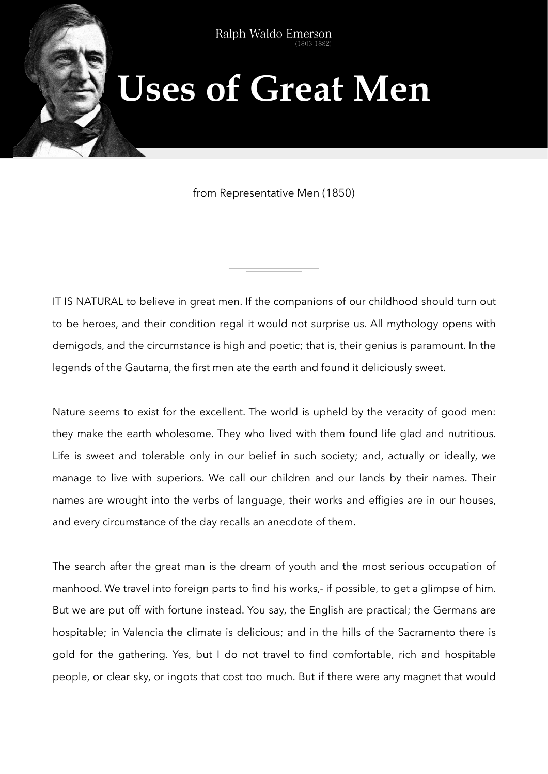Type to enter the top that

## **Uses of Great Men**

from Representative Men (1850)

IT IS NATURAL to believe in great men. If the companions of our childhood should turn out to be heroes, and their condition regal it would not surprise us. All mythology opens with demigods, and the circumstance is high and poetic; that is, their genius is paramount. In the legends of the Gautama, the first men ate the earth and found it deliciously sweet.

Nature seems to exist for the excellent. The world is upheld by the veracity of good men: they make the earth wholesome. They who lived with them found life glad and nutritious. Life is sweet and tolerable only in our belief in such society; and, actually or ideally, we manage to live with superiors. We call our children and our lands by their names. Their names are wrought into the verbs of language, their works and effigies are in our houses, and every circumstance of the day recalls an anecdote of them.

The search after the great man is the dream of youth and the most serious occupation of manhood. We travel into foreign parts to find his works,- if possible, to get a glimpse of him. But we are put off with fortune instead. You say, the English are practical; the Germans are hospitable; in Valencia the climate is delicious; and in the hills of the Sacramento there is gold for the gathering. Yes, but I do not travel to find comfortable, rich and hospitable people, or clear sky, or ingots that cost too much. But if there were any magnet that would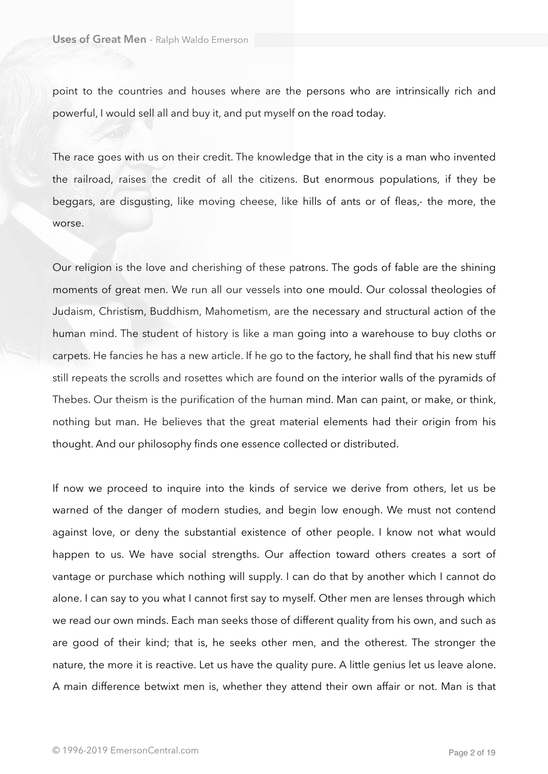point to the countries and houses where are the persons who are intrinsically rich and powerful, I would sell all and buy it, and put myself on the road today.

The race goes with us on their credit. The knowledge that in the city is a man who invented the railroad, raises the credit of all the citizens. But enormous populations, if they be beggars, are disgusting, like moving cheese, like hills of ants or of fleas,- the more, the worse.

Our religion is the love and cherishing of these patrons. The gods of fable are the shining moments of great men. We run all our vessels into one mould. Our colossal theologies of Judaism, Christism, Buddhism, Mahometism, are the necessary and structural action of the human mind. The student of history is like a man going into a warehouse to buy cloths or carpets. He fancies he has a new article. If he go to the factory, he shall find that his new stuff still repeats the scrolls and rosettes which are found on the interior walls of the pyramids of Thebes. Our theism is the purification of the human mind. Man can paint, or make, or think, nothing but man. He believes that the great material elements had their origin from his thought. And our philosophy finds one essence collected or distributed.

If now we proceed to inquire into the kinds of service we derive from others, let us be warned of the danger of modern studies, and begin low enough. We must not contend against love, or deny the substantial existence of other people. I know not what would happen to us. We have social strengths. Our affection toward others creates a sort of vantage or purchase which nothing will supply. I can do that by another which I cannot do alone. I can say to you what I cannot first say to myself. Other men are lenses through which we read our own minds. Each man seeks those of different quality from his own, and such as are good of their kind; that is, he seeks other men, and the otherest. The stronger the nature, the more it is reactive. Let us have the quality pure. A little genius let us leave alone. A main difference betwixt men is, whether they attend their own affair or not. Man is that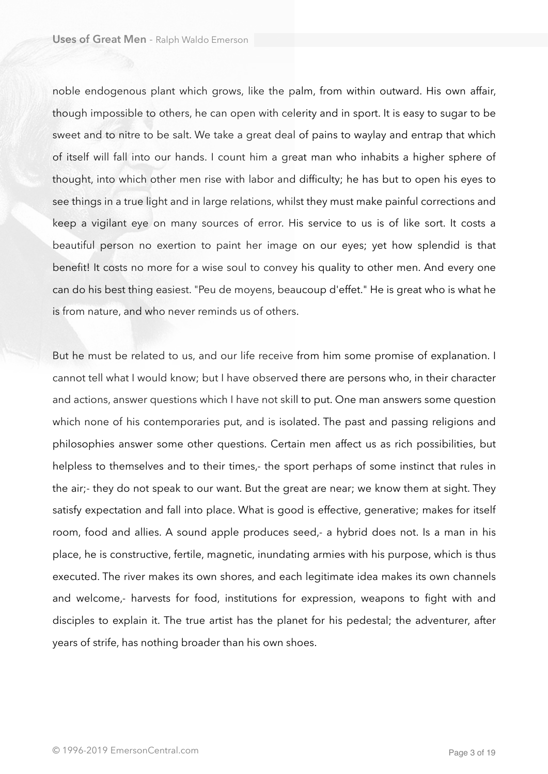noble endogenous plant which grows, like the palm, from within outward. His own affair, though impossible to others, he can open with celerity and in sport. It is easy to sugar to be sweet and to nitre to be salt. We take a great deal of pains to waylay and entrap that which of itself will fall into our hands. I count him a great man who inhabits a higher sphere of thought, into which other men rise with labor and difficulty; he has but to open his eyes to see things in a true light and in large relations, whilst they must make painful corrections and keep a vigilant eye on many sources of error. His service to us is of like sort. It costs a beautiful person no exertion to paint her image on our eyes; yet how splendid is that benefit! It costs no more for a wise soul to convey his quality to other men. And every one can do his best thing easiest. "Peu de moyens, beaucoup d'effet." He is great who is what he is from nature, and who never reminds us of others.

But he must be related to us, and our life receive from him some promise of explanation. I cannot tell what I would know; but I have observed there are persons who, in their character and actions, answer questions which I have not skill to put. One man answers some question which none of his contemporaries put, and is isolated. The past and passing religions and philosophies answer some other questions. Certain men affect us as rich possibilities, but helpless to themselves and to their times,- the sport perhaps of some instinct that rules in the air;- they do not speak to our want. But the great are near; we know them at sight. They satisfy expectation and fall into place. What is good is effective, generative; makes for itself room, food and allies. A sound apple produces seed,- a hybrid does not. Is a man in his place, he is constructive, fertile, magnetic, inundating armies with his purpose, which is thus executed. The river makes its own shores, and each legitimate idea makes its own channels and welcome,- harvests for food, institutions for expression, weapons to fight with and disciples to explain it. The true artist has the planet for his pedestal; the adventurer, after years of strife, has nothing broader than his own shoes.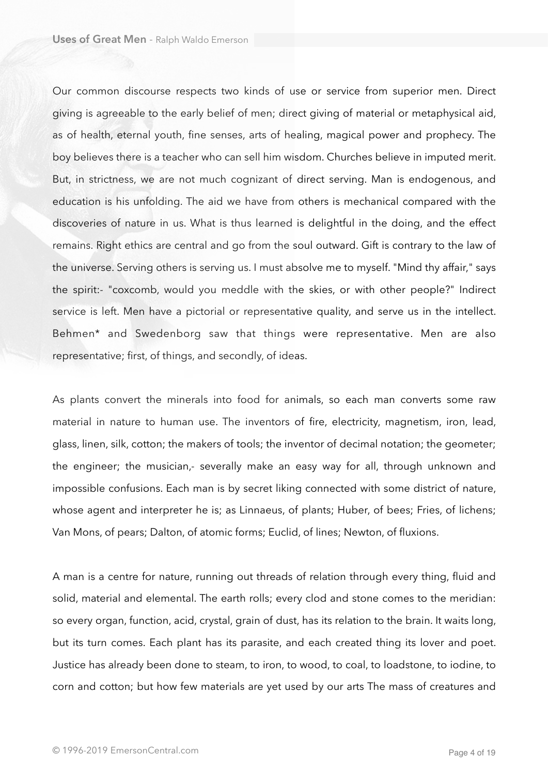Our common discourse respects two kinds of use or service from superior men. Direct giving is agreeable to the early belief of men; direct giving of material or metaphysical aid, as of health, eternal youth, fine senses, arts of healing, magical power and prophecy. The boy believes there is a teacher who can sell him wisdom. Churches believe in imputed merit. But, in strictness, we are not much cognizant of direct serving. Man is endogenous, and education is his unfolding. The aid we have from others is mechanical compared with the discoveries of nature in us. What is thus learned is delightful in the doing, and the effect remains. Right ethics are central and go from the soul outward. Gift is contrary to the law of the universe. Serving others is serving us. I must absolve me to myself. "Mind thy affair," says the spirit:- "coxcomb, would you meddle with the skies, or with other people?" Indirect service is left. Men have a pictorial or representative quality, and serve us in the intellect. Behmen\* and Swedenborg saw that things were representative. Men are also representative; first, of things, and secondly, of ideas.

As plants convert the minerals into food for animals, so each man converts some raw material in nature to human use. The inventors of fire, electricity, magnetism, iron, lead, glass, linen, silk, cotton; the makers of tools; the inventor of decimal notation; the geometer; the engineer; the musician,- severally make an easy way for all, through unknown and impossible confusions. Each man is by secret liking connected with some district of nature, whose agent and interpreter he is; as Linnaeus, of plants; Huber, of bees; Fries, of lichens; Van Mons, of pears; Dalton, of atomic forms; Euclid, of lines; Newton, of fluxions.

A man is a centre for nature, running out threads of relation through every thing, fluid and solid, material and elemental. The earth rolls; every clod and stone comes to the meridian: so every organ, function, acid, crystal, grain of dust, has its relation to the brain. It waits long, but its turn comes. Each plant has its parasite, and each created thing its lover and poet. Justice has already been done to steam, to iron, to wood, to coal, to loadstone, to iodine, to corn and cotton; but how few materials are yet used by our arts The mass of creatures and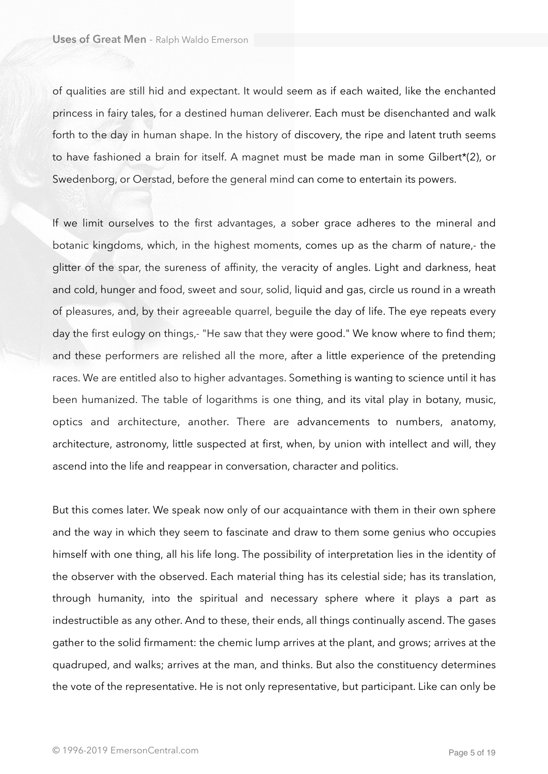of qualities are still hid and expectant. It would seem as if each waited, like the enchanted princess in fairy tales, for a destined human deliverer. Each must be disenchanted and walk forth to the day in human shape. In the history of discovery, the ripe and latent truth seems to have fashioned a brain for itself. A magnet must be made man in some Gilbert\*(2), or Swedenborg, or Oerstad, before the general mind can come to entertain its powers.

If we limit ourselves to the first advantages, a sober grace adheres to the mineral and botanic kingdoms, which, in the highest moments, comes up as the charm of nature,- the glitter of the spar, the sureness of affinity, the veracity of angles. Light and darkness, heat and cold, hunger and food, sweet and sour, solid, liquid and gas, circle us round in a wreath of pleasures, and, by their agreeable quarrel, beguile the day of life. The eye repeats every day the first eulogy on things,- "He saw that they were good." We know where to find them; and these performers are relished all the more, after a little experience of the pretending races. We are entitled also to higher advantages. Something is wanting to science until it has been humanized. The table of logarithms is one thing, and its vital play in botany, music, optics and architecture, another. There are advancements to numbers, anatomy, architecture, astronomy, little suspected at first, when, by union with intellect and will, they ascend into the life and reappear in conversation, character and politics.

But this comes later. We speak now only of our acquaintance with them in their own sphere and the way in which they seem to fascinate and draw to them some genius who occupies himself with one thing, all his life long. The possibility of interpretation lies in the identity of the observer with the observed. Each material thing has its celestial side; has its translation, through humanity, into the spiritual and necessary sphere where it plays a part as indestructible as any other. And to these, their ends, all things continually ascend. The gases gather to the solid firmament: the chemic lump arrives at the plant, and grows; arrives at the quadruped, and walks; arrives at the man, and thinks. But also the constituency determines the vote of the representative. He is not only representative, but participant. Like can only be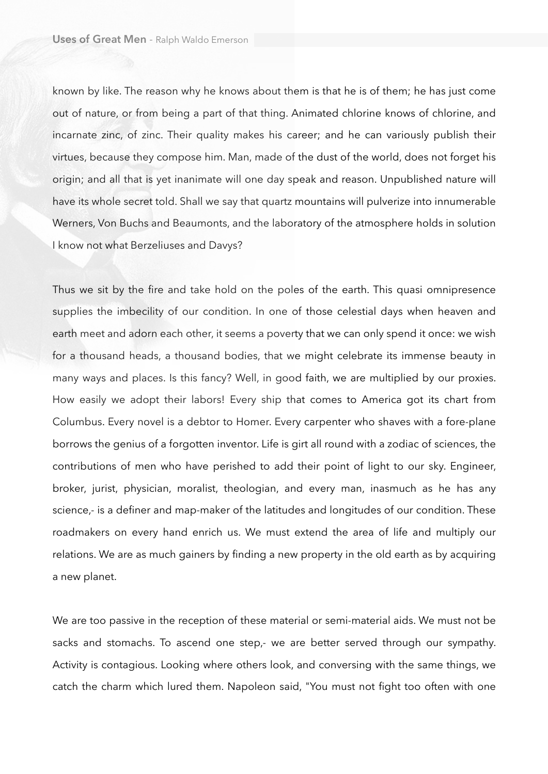known by like. The reason why he knows about them is that he is of them; he has just come out of nature, or from being a part of that thing. Animated chlorine knows of chlorine, and incarnate zinc, of zinc. Their quality makes his career; and he can variously publish their virtues, because they compose him. Man, made of the dust of the world, does not forget his origin; and all that is yet inanimate will one day speak and reason. Unpublished nature will have its whole secret told. Shall we say that quartz mountains will pulverize into innumerable Werners, Von Buchs and Beaumonts, and the laboratory of the atmosphere holds in solution I know not what Berzeliuses and Davys?

Thus we sit by the fire and take hold on the poles of the earth. This quasi omnipresence supplies the imbecility of our condition. In one of those celestial days when heaven and earth meet and adorn each other, it seems a poverty that we can only spend it once: we wish for a thousand heads, a thousand bodies, that we might celebrate its immense beauty in many ways and places. Is this fancy? Well, in good faith, we are multiplied by our proxies. How easily we adopt their labors! Every ship that comes to America got its chart from Columbus. Every novel is a debtor to Homer. Every carpenter who shaves with a fore-plane borrows the genius of a forgotten inventor. Life is girt all round with a zodiac of sciences, the contributions of men who have perished to add their point of light to our sky. Engineer, broker, jurist, physician, moralist, theologian, and every man, inasmuch as he has any science,- is a definer and map-maker of the latitudes and longitudes of our condition. These roadmakers on every hand enrich us. We must extend the area of life and multiply our relations. We are as much gainers by finding a new property in the old earth as by acquiring a new planet.

We are too passive in the reception of these material or semi-material aids. We must not be sacks and stomachs. To ascend one step,- we are better served through our sympathy. Activity is contagious. Looking where others look, and conversing with the same things, we catch the charm which lured them. Napoleon said, "You must not fight too often with one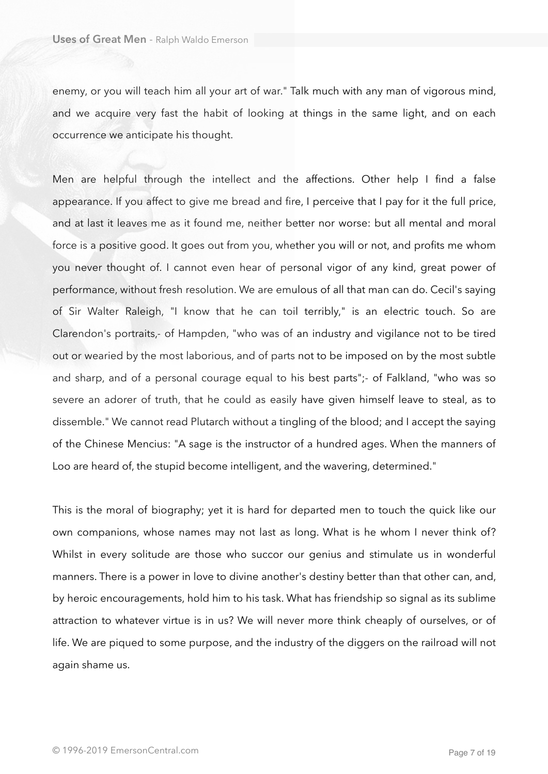enemy, or you will teach him all your art of war." Talk much with any man of vigorous mind, and we acquire very fast the habit of looking at things in the same light, and on each occurrence we anticipate his thought.

Men are helpful through the intellect and the affections. Other help I find a false appearance. If you affect to give me bread and fire, I perceive that I pay for it the full price, and at last it leaves me as it found me, neither better nor worse: but all mental and moral force is a positive good. It goes out from you, whether you will or not, and profits me whom you never thought of. I cannot even hear of personal vigor of any kind, great power of performance, without fresh resolution. We are emulous of all that man can do. Cecil's saying of Sir Walter Raleigh, "I know that he can toil terribly," is an electric touch. So are Clarendon's portraits,- of Hampden, "who was of an industry and vigilance not to be tired out or wearied by the most laborious, and of parts not to be imposed on by the most subtle and sharp, and of a personal courage equal to his best parts";- of Falkland, "who was so severe an adorer of truth, that he could as easily have given himself leave to steal, as to dissemble." We cannot read Plutarch without a tingling of the blood; and I accept the saying of the Chinese Mencius: "A sage is the instructor of a hundred ages. When the manners of Loo are heard of, the stupid become intelligent, and the wavering, determined."

This is the moral of biography; yet it is hard for departed men to touch the quick like our own companions, whose names may not last as long. What is he whom I never think of? Whilst in every solitude are those who succor our genius and stimulate us in wonderful manners. There is a power in love to divine another's destiny better than that other can, and, by heroic encouragements, hold him to his task. What has friendship so signal as its sublime attraction to whatever virtue is in us? We will never more think cheaply of ourselves, or of life. We are piqued to some purpose, and the industry of the diggers on the railroad will not again shame us.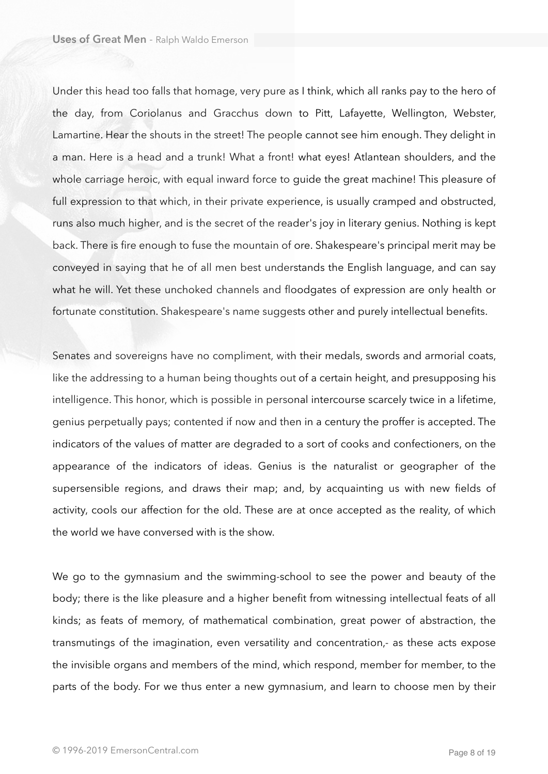Under this head too falls that homage, very pure as I think, which all ranks pay to the hero of the day, from Coriolanus and Gracchus down to Pitt, Lafayette, Wellington, Webster, Lamartine. Hear the shouts in the street! The people cannot see him enough. They delight in a man. Here is a head and a trunk! What a front! what eyes! Atlantean shoulders, and the whole carriage heroic, with equal inward force to guide the great machine! This pleasure of full expression to that which, in their private experience, is usually cramped and obstructed, runs also much higher, and is the secret of the reader's joy in literary genius. Nothing is kept back. There is fire enough to fuse the mountain of ore. Shakespeare's principal merit may be conveyed in saying that he of all men best understands the English language, and can say what he will. Yet these unchoked channels and floodgates of expression are only health or fortunate constitution. Shakespeare's name suggests other and purely intellectual benefits.

Senates and sovereigns have no compliment, with their medals, swords and armorial coats, like the addressing to a human being thoughts out of a certain height, and presupposing his intelligence. This honor, which is possible in personal intercourse scarcely twice in a lifetime, genius perpetually pays; contented if now and then in a century the proffer is accepted. The indicators of the values of matter are degraded to a sort of cooks and confectioners, on the appearance of the indicators of ideas. Genius is the naturalist or geographer of the supersensible regions, and draws their map; and, by acquainting us with new fields of activity, cools our affection for the old. These are at once accepted as the reality, of which the world we have conversed with is the show.

We go to the gymnasium and the swimming-school to see the power and beauty of the body; there is the like pleasure and a higher benefit from witnessing intellectual feats of all kinds; as feats of memory, of mathematical combination, great power of abstraction, the transmutings of the imagination, even versatility and concentration,- as these acts expose the invisible organs and members of the mind, which respond, member for member, to the parts of the body. For we thus enter a new gymnasium, and learn to choose men by their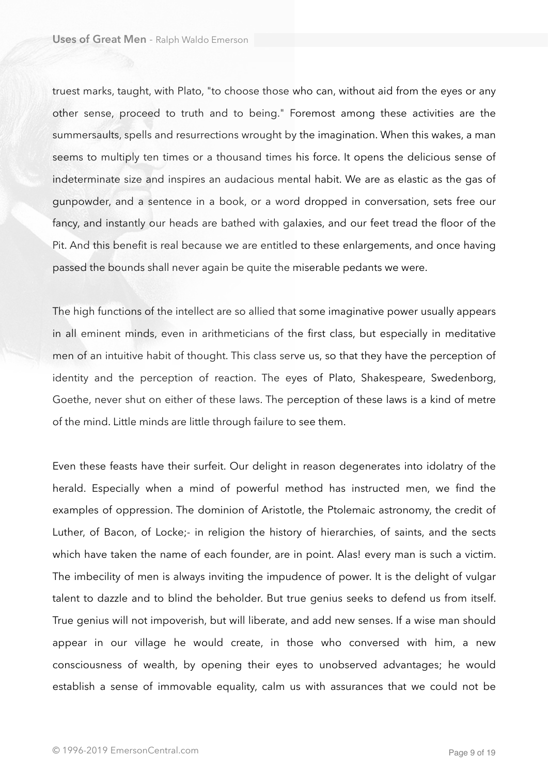truest marks, taught, with Plato, "to choose those who can, without aid from the eyes or any other sense, proceed to truth and to being." Foremost among these activities are the summersaults, spells and resurrections wrought by the imagination. When this wakes, a man seems to multiply ten times or a thousand times his force. It opens the delicious sense of indeterminate size and inspires an audacious mental habit. We are as elastic as the gas of gunpowder, and a sentence in a book, or a word dropped in conversation, sets free our fancy, and instantly our heads are bathed with galaxies, and our feet tread the floor of the Pit. And this benefit is real because we are entitled to these enlargements, and once having passed the bounds shall never again be quite the miserable pedants we were.

The high functions of the intellect are so allied that some imaginative power usually appears in all eminent minds, even in arithmeticians of the first class, but especially in meditative men of an intuitive habit of thought. This class serve us, so that they have the perception of identity and the perception of reaction. The eyes of Plato, Shakespeare, Swedenborg, Goethe, never shut on either of these laws. The perception of these laws is a kind of metre of the mind. Little minds are little through failure to see them.

Even these feasts have their surfeit. Our delight in reason degenerates into idolatry of the herald. Especially when a mind of powerful method has instructed men, we find the examples of oppression. The dominion of Aristotle, the Ptolemaic astronomy, the credit of Luther, of Bacon, of Locke;- in religion the history of hierarchies, of saints, and the sects which have taken the name of each founder, are in point. Alas! every man is such a victim. The imbecility of men is always inviting the impudence of power. It is the delight of vulgar talent to dazzle and to blind the beholder. But true genius seeks to defend us from itself. True genius will not impoverish, but will liberate, and add new senses. If a wise man should appear in our village he would create, in those who conversed with him, a new consciousness of wealth, by opening their eyes to unobserved advantages; he would establish a sense of immovable equality, calm us with assurances that we could not be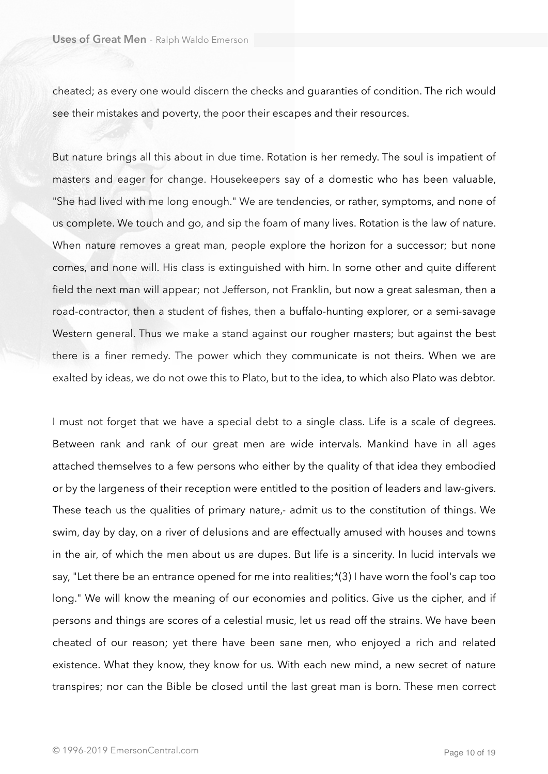cheated; as every one would discern the checks and guaranties of condition. The rich would see their mistakes and poverty, the poor their escapes and their resources.

But nature brings all this about in due time. Rotation is her remedy. The soul is impatient of masters and eager for change. Housekeepers say of a domestic who has been valuable, "She had lived with me long enough." We are tendencies, or rather, symptoms, and none of us complete. We touch and go, and sip the foam of many lives. Rotation is the law of nature. When nature removes a great man, people explore the horizon for a successor; but none comes, and none will. His class is extinguished with him. In some other and quite different field the next man will appear; not Jefferson, not Franklin, but now a great salesman, then a road-contractor, then a student of fishes, then a buffalo-hunting explorer, or a semi-savage Western general. Thus we make a stand against our rougher masters; but against the best there is a finer remedy. The power which they communicate is not theirs. When we are exalted by ideas, we do not owe this to Plato, but to the idea, to which also Plato was debtor.

I must not forget that we have a special debt to a single class. Life is a scale of degrees. Between rank and rank of our great men are wide intervals. Mankind have in all ages attached themselves to a few persons who either by the quality of that idea they embodied or by the largeness of their reception were entitled to the position of leaders and law-givers. These teach us the qualities of primary nature,- admit us to the constitution of things. We swim, day by day, on a river of delusions and are effectually amused with houses and towns in the air, of which the men about us are dupes. But life is a sincerity. In lucid intervals we say, "Let there be an entrance opened for me into realities;\*(3) I have worn the fool's cap too long." We will know the meaning of our economies and politics. Give us the cipher, and if persons and things are scores of a celestial music, let us read off the strains. We have been cheated of our reason; yet there have been sane men, who enjoyed a rich and related existence. What they know, they know for us. With each new mind, a new secret of nature transpires; nor can the Bible be closed until the last great man is born. These men correct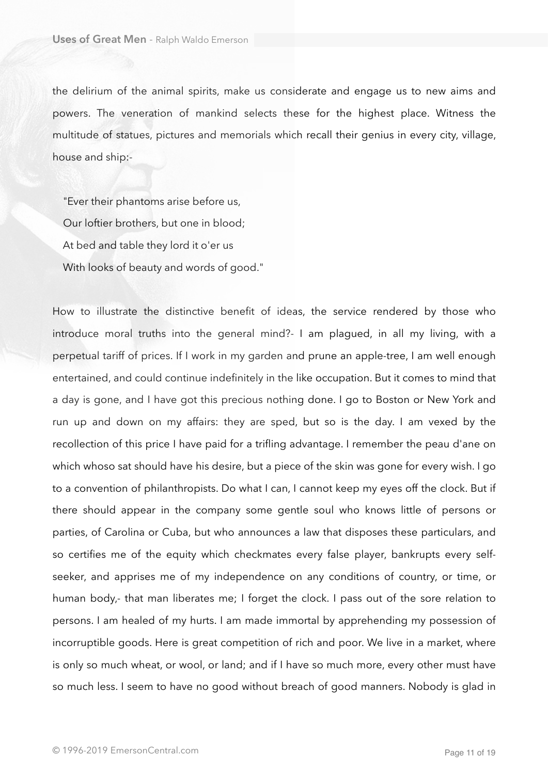the delirium of the animal spirits, make us considerate and engage us to new aims and powers. The veneration of mankind selects these for the highest place. Witness the multitude of statues, pictures and memorials which recall their genius in every city, village, house and ship:-

 "Ever their phantoms arise before us, Our loftier brothers, but one in blood; At bed and table they lord it o'er us With looks of beauty and words of good."

How to illustrate the distinctive benefit of ideas, the service rendered by those who introduce moral truths into the general mind?- I am plagued, in all my living, with a perpetual tariff of prices. If I work in my garden and prune an apple-tree, I am well enough entertained, and could continue indefinitely in the like occupation. But it comes to mind that a day is gone, and I have got this precious nothing done. I go to Boston or New York and run up and down on my affairs: they are sped, but so is the day. I am vexed by the recollection of this price I have paid for a trifling advantage. I remember the peau d'ane on which whoso sat should have his desire, but a piece of the skin was gone for every wish. I go to a convention of philanthropists. Do what I can, I cannot keep my eyes off the clock. But if there should appear in the company some gentle soul who knows little of persons or parties, of Carolina or Cuba, but who announces a law that disposes these particulars, and so certifies me of the equity which checkmates every false player, bankrupts every selfseeker, and apprises me of my independence on any conditions of country, or time, or human body,- that man liberates me; I forget the clock. I pass out of the sore relation to persons. I am healed of my hurts. I am made immortal by apprehending my possession of incorruptible goods. Here is great competition of rich and poor. We live in a market, where is only so much wheat, or wool, or land; and if I have so much more, every other must have so much less. I seem to have no good without breach of good manners. Nobody is glad in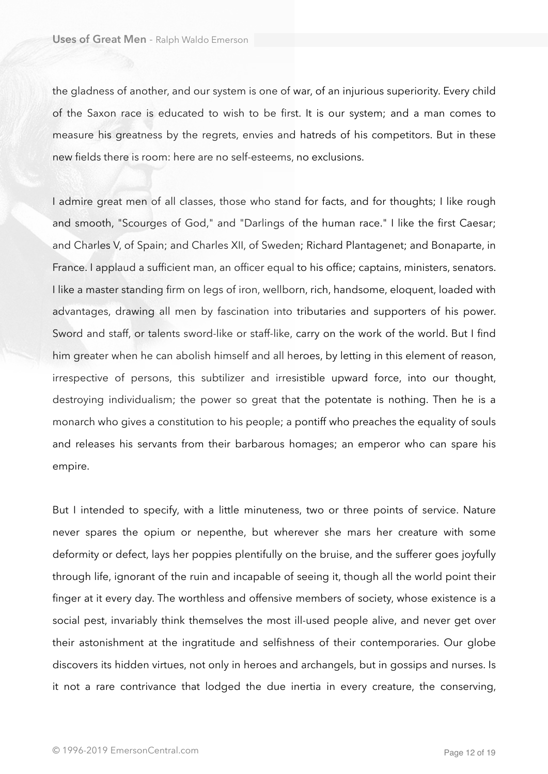the gladness of another, and our system is one of war, of an injurious superiority. Every child of the Saxon race is educated to wish to be first. It is our system; and a man comes to measure his greatness by the regrets, envies and hatreds of his competitors. But in these new fields there is room: here are no self-esteems, no exclusions.

I admire great men of all classes, those who stand for facts, and for thoughts; I like rough and smooth, "Scourges of God," and "Darlings of the human race." I like the first Caesar; and Charles V, of Spain; and Charles XII, of Sweden; Richard Plantagenet; and Bonaparte, in France. I applaud a sufficient man, an officer equal to his office; captains, ministers, senators. I like a master standing firm on legs of iron, wellborn, rich, handsome, eloquent, loaded with advantages, drawing all men by fascination into tributaries and supporters of his power. Sword and staff, or talents sword-like or staff-like, carry on the work of the world. But I find him greater when he can abolish himself and all heroes, by letting in this element of reason, irrespective of persons, this subtilizer and irresistible upward force, into our thought, destroying individualism; the power so great that the potentate is nothing. Then he is a monarch who gives a constitution to his people; a pontiff who preaches the equality of souls and releases his servants from their barbarous homages; an emperor who can spare his empire.

But I intended to specify, with a little minuteness, two or three points of service. Nature never spares the opium or nepenthe, but wherever she mars her creature with some deformity or defect, lays her poppies plentifully on the bruise, and the sufferer goes joyfully through life, ignorant of the ruin and incapable of seeing it, though all the world point their finger at it every day. The worthless and offensive members of society, whose existence is a social pest, invariably think themselves the most ill-used people alive, and never get over their astonishment at the ingratitude and selfishness of their contemporaries. Our globe discovers its hidden virtues, not only in heroes and archangels, but in gossips and nurses. Is it not a rare contrivance that lodged the due inertia in every creature, the conserving,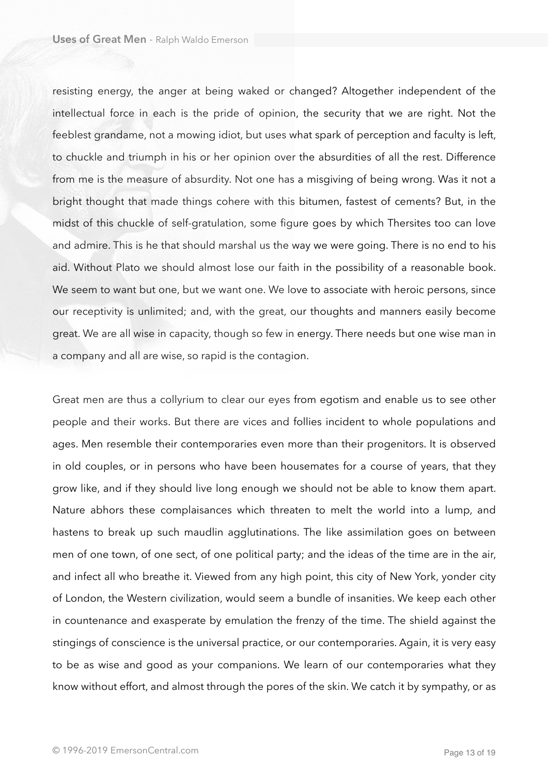resisting energy, the anger at being waked or changed? Altogether independent of the intellectual force in each is the pride of opinion, the security that we are right. Not the feeblest grandame, not a mowing idiot, but uses what spark of perception and faculty is left, to chuckle and triumph in his or her opinion over the absurdities of all the rest. Difference from me is the measure of absurdity. Not one has a misgiving of being wrong. Was it not a bright thought that made things cohere with this bitumen, fastest of cements? But, in the midst of this chuckle of self-gratulation, some figure goes by which Thersites too can love and admire. This is he that should marshal us the way we were going. There is no end to his aid. Without Plato we should almost lose our faith in the possibility of a reasonable book. We seem to want but one, but we want one. We love to associate with heroic persons, since our receptivity is unlimited; and, with the great, our thoughts and manners easily become great. We are all wise in capacity, though so few in energy. There needs but one wise man in a company and all are wise, so rapid is the contagion.

Great men are thus a collyrium to clear our eyes from egotism and enable us to see other people and their works. But there are vices and follies incident to whole populations and ages. Men resemble their contemporaries even more than their progenitors. It is observed in old couples, or in persons who have been housemates for a course of years, that they grow like, and if they should live long enough we should not be able to know them apart. Nature abhors these complaisances which threaten to melt the world into a lump, and hastens to break up such maudlin agglutinations. The like assimilation goes on between men of one town, of one sect, of one political party; and the ideas of the time are in the air, and infect all who breathe it. Viewed from any high point, this city of New York, yonder city of London, the Western civilization, would seem a bundle of insanities. We keep each other in countenance and exasperate by emulation the frenzy of the time. The shield against the stingings of conscience is the universal practice, or our contemporaries. Again, it is very easy to be as wise and good as your companions. We learn of our contemporaries what they know without effort, and almost through the pores of the skin. We catch it by sympathy, or as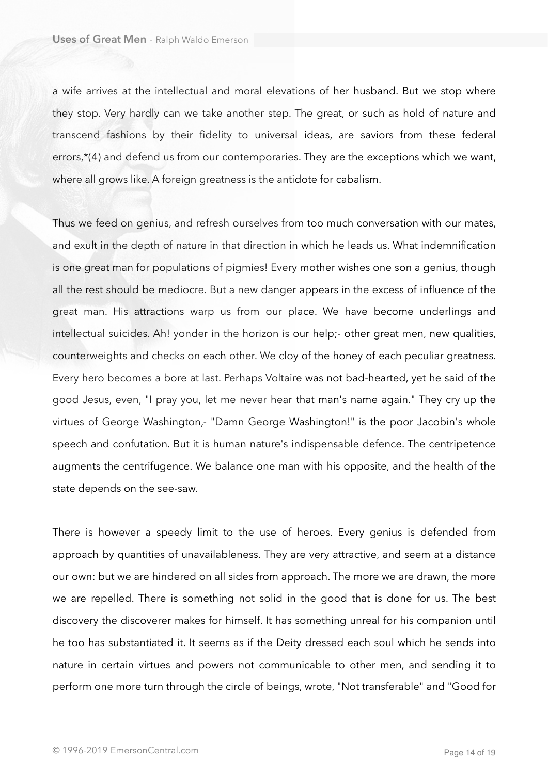a wife arrives at the intellectual and moral elevations of her husband. But we stop where they stop. Very hardly can we take another step. The great, or such as hold of nature and transcend fashions by their fidelity to universal ideas, are saviors from these federal errors.\*(4) and defend us from our contemporaries. They are the exceptions which we want, where all grows like. A foreign greatness is the antidote for cabalism.

Thus we feed on genius, and refresh ourselves from too much conversation with our mates, and exult in the depth of nature in that direction in which he leads us. What indemnification is one great man for populations of pigmies! Every mother wishes one son a genius, though all the rest should be mediocre. But a new danger appears in the excess of influence of the great man. His attractions warp us from our place. We have become underlings and intellectual suicides. Ah! yonder in the horizon is our help;- other great men, new qualities, counterweights and checks on each other. We cloy of the honey of each peculiar greatness. Every hero becomes a bore at last. Perhaps Voltaire was not bad-hearted, yet he said of the good Jesus, even, "I pray you, let me never hear that man's name again." They cry up the virtues of George Washington,- "Damn George Washington!" is the poor Jacobin's whole speech and confutation. But it is human nature's indispensable defence. The centripetence augments the centrifugence. We balance one man with his opposite, and the health of the state depends on the see-saw.

There is however a speedy limit to the use of heroes. Every genius is defended from approach by quantities of unavailableness. They are very attractive, and seem at a distance our own: but we are hindered on all sides from approach. The more we are drawn, the more we are repelled. There is something not solid in the good that is done for us. The best discovery the discoverer makes for himself. It has something unreal for his companion until he too has substantiated it. It seems as if the Deity dressed each soul which he sends into nature in certain virtues and powers not communicable to other men, and sending it to perform one more turn through the circle of beings, wrote, "Not transferable" and "Good for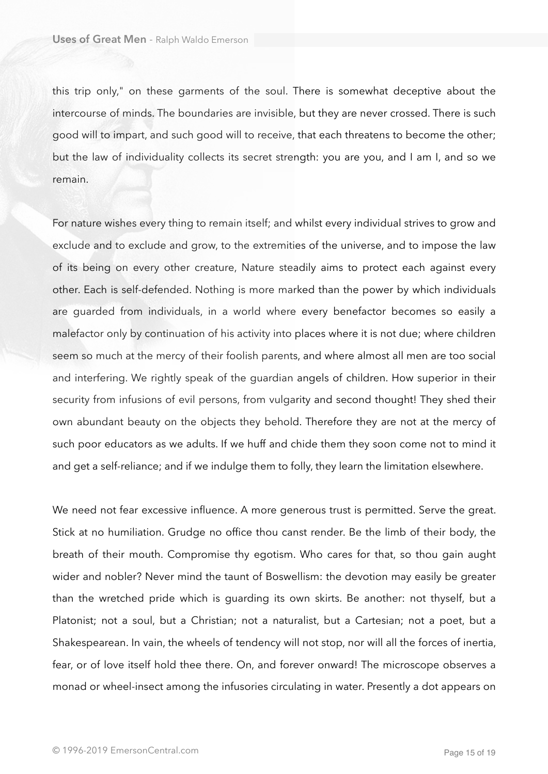this trip only," on these garments of the soul. There is somewhat deceptive about the intercourse of minds. The boundaries are invisible, but they are never crossed. There is such good will to impart, and such good will to receive, that each threatens to become the other; but the law of individuality collects its secret strength: you are you, and I am I, and so we remain.

For nature wishes every thing to remain itself; and whilst every individual strives to grow and exclude and to exclude and grow, to the extremities of the universe, and to impose the law of its being on every other creature, Nature steadily aims to protect each against every other. Each is self-defended. Nothing is more marked than the power by which individuals are guarded from individuals, in a world where every benefactor becomes so easily a malefactor only by continuation of his activity into places where it is not due; where children seem so much at the mercy of their foolish parents, and where almost all men are too social and interfering. We rightly speak of the guardian angels of children. How superior in their security from infusions of evil persons, from vulgarity and second thought! They shed their own abundant beauty on the objects they behold. Therefore they are not at the mercy of such poor educators as we adults. If we huff and chide them they soon come not to mind it and get a self-reliance; and if we indulge them to folly, they learn the limitation elsewhere.

We need not fear excessive influence. A more generous trust is permitted. Serve the great. Stick at no humiliation. Grudge no office thou canst render. Be the limb of their body, the breath of their mouth. Compromise thy egotism. Who cares for that, so thou gain aught wider and nobler? Never mind the taunt of Boswellism: the devotion may easily be greater than the wretched pride which is guarding its own skirts. Be another: not thyself, but a Platonist; not a soul, but a Christian; not a naturalist, but a Cartesian; not a poet, but a Shakespearean. In vain, the wheels of tendency will not stop, nor will all the forces of inertia, fear, or of love itself hold thee there. On, and forever onward! The microscope observes a monad or wheel-insect among the infusories circulating in water. Presently a dot appears on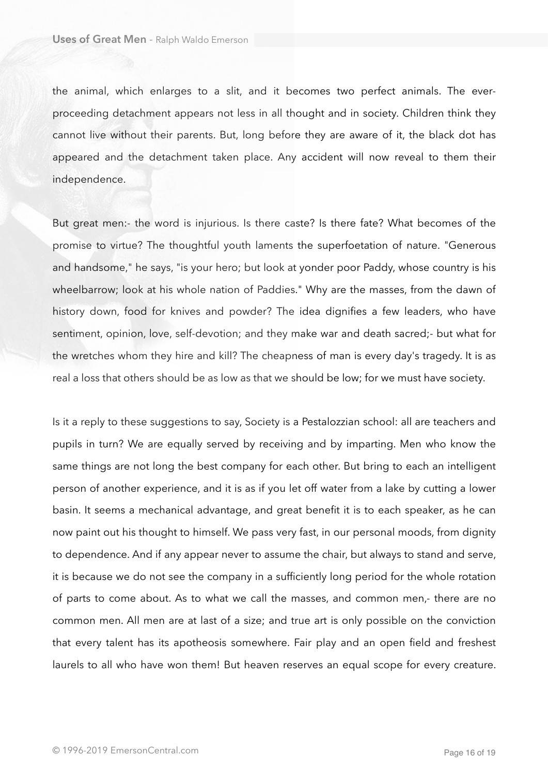the animal, which enlarges to a slit, and it becomes two perfect animals. The everproceeding detachment appears not less in all thought and in society. Children think they cannot live without their parents. But, long before they are aware of it, the black dot has appeared and the detachment taken place. Any accident will now reveal to them their independence.

But great men:- the word is injurious. Is there caste? Is there fate? What becomes of the promise to virtue? The thoughtful youth laments the superfoetation of nature. "Generous and handsome," he says, "is your hero; but look at yonder poor Paddy, whose country is his wheelbarrow; look at his whole nation of Paddies." Why are the masses, from the dawn of history down, food for knives and powder? The idea dignifies a few leaders, who have sentiment, opinion, love, self-devotion; and they make war and death sacred;- but what for the wretches whom they hire and kill? The cheapness of man is every day's tragedy. It is as real a loss that others should be as low as that we should be low; for we must have society.

Is it a reply to these suggestions to say, Society is a Pestalozzian school: all are teachers and pupils in turn? We are equally served by receiving and by imparting. Men who know the same things are not long the best company for each other. But bring to each an intelligent person of another experience, and it is as if you let off water from a lake by cutting a lower basin. It seems a mechanical advantage, and great benefit it is to each speaker, as he can now paint out his thought to himself. We pass very fast, in our personal moods, from dignity to dependence. And if any appear never to assume the chair, but always to stand and serve, it is because we do not see the company in a sufficiently long period for the whole rotation of parts to come about. As to what we call the masses, and common men,- there are no common men. All men are at last of a size; and true art is only possible on the conviction that every talent has its apotheosis somewhere. Fair play and an open field and freshest laurels to all who have won them! But heaven reserves an equal scope for every creature.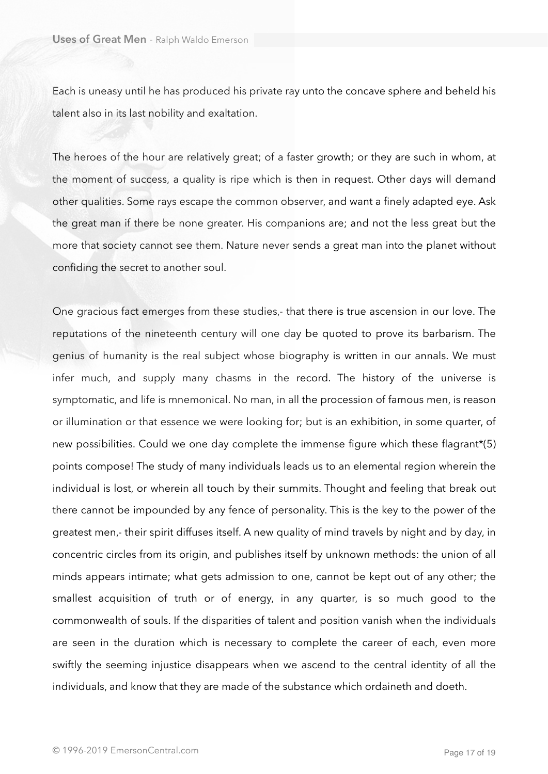Each is uneasy until he has produced his private ray unto the concave sphere and beheld his talent also in its last nobility and exaltation.

The heroes of the hour are relatively great; of a faster growth; or they are such in whom, at the moment of success, a quality is ripe which is then in request. Other days will demand other qualities. Some rays escape the common observer, and want a finely adapted eye. Ask the great man if there be none greater. His companions are; and not the less great but the more that society cannot see them. Nature never sends a great man into the planet without confiding the secret to another soul.

One gracious fact emerges from these studies,- that there is true ascension in our love. The reputations of the nineteenth century will one day be quoted to prove its barbarism. The genius of humanity is the real subject whose biography is written in our annals. We must infer much, and supply many chasms in the record. The history of the universe is symptomatic, and life is mnemonical. No man, in all the procession of famous men, is reason or illumination or that essence we were looking for; but is an exhibition, in some quarter, of new possibilities. Could we one day complete the immense figure which these flagrant\*(5) points compose! The study of many individuals leads us to an elemental region wherein the individual is lost, or wherein all touch by their summits. Thought and feeling that break out there cannot be impounded by any fence of personality. This is the key to the power of the greatest men,- their spirit diffuses itself. A new quality of mind travels by night and by day, in concentric circles from its origin, and publishes itself by unknown methods: the union of all minds appears intimate; what gets admission to one, cannot be kept out of any other; the smallest acquisition of truth or of energy, in any quarter, is so much good to the commonwealth of souls. If the disparities of talent and position vanish when the individuals are seen in the duration which is necessary to complete the career of each, even more swiftly the seeming injustice disappears when we ascend to the central identity of all the individuals, and know that they are made of the substance which ordaineth and doeth.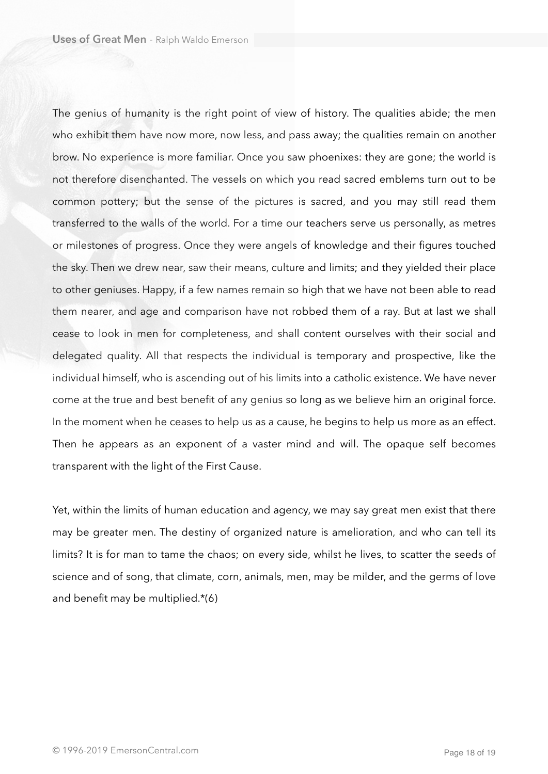The genius of humanity is the right point of view of history. The qualities abide; the men who exhibit them have now more, now less, and pass away; the qualities remain on another brow. No experience is more familiar. Once you saw phoenixes: they are gone; the world is not therefore disenchanted. The vessels on which you read sacred emblems turn out to be common pottery; but the sense of the pictures is sacred, and you may still read them transferred to the walls of the world. For a time our teachers serve us personally, as metres or milestones of progress. Once they were angels of knowledge and their figures touched the sky. Then we drew near, saw their means, culture and limits; and they yielded their place to other geniuses. Happy, if a few names remain so high that we have not been able to read them nearer, and age and comparison have not robbed them of a ray. But at last we shall cease to look in men for completeness, and shall content ourselves with their social and delegated quality. All that respects the individual is temporary and prospective, like the individual himself, who is ascending out of his limits into a catholic existence. We have never come at the true and best benefit of any genius so long as we believe him an original force. In the moment when he ceases to help us as a cause, he begins to help us more as an effect. Then he appears as an exponent of a vaster mind and will. The opaque self becomes transparent with the light of the First Cause.

Yet, within the limits of human education and agency, we may say great men exist that there may be greater men. The destiny of organized nature is amelioration, and who can tell its limits? It is for man to tame the chaos; on every side, whilst he lives, to scatter the seeds of science and of song, that climate, corn, animals, men, may be milder, and the germs of love and benefit may be multiplied.\*(6)